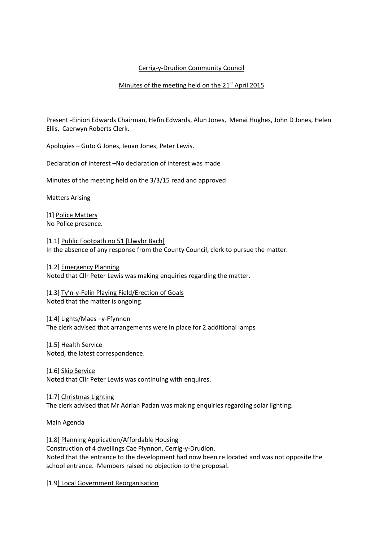## Cerrig-y-Drudion Community Council

## Minutes of the meeting held on the  $21<sup>st</sup>$  April 2015

Present -Einion Edwards Chairman, Hefin Edwards, Alun Jones, Menai Hughes, John D Jones, Helen Ellis, Caerwyn Roberts Clerk.

Apologies – Guto G Jones, Ieuan Jones, Peter Lewis.

Declaration of interest –No declaration of interest was made

Minutes of the meeting held on the 3/3/15 read and approved

Matters Arising

[1] Police Matters No Police presence.

[1.1] Public Footpath no 51 [Llwybr Bach] In the absence of any response from the County Council, clerk to pursue the matter.

[1.2] Emergency Planning Noted that Cllr Peter Lewis was making enquiries regarding the matter.

[1.3] Ty'n-y-Felin Playing Field/Erection of Goals Noted that the matter is ongoing.

[1.4] Lights/Maes –y-Ffynnon The clerk advised that arrangements were in place for 2 additional lamps

[1.5] Health Service Noted, the latest correspondence.

[1.6] Skip Service Noted that Cllr Peter Lewis was continuing with enquires.

[1.7] Christmas Lighting The clerk advised that Mr Adrian Padan was making enquiries regarding solar lighting.

Main Agenda

[1.8] Planning Application/Affordable Housing Construction of 4 dwellings Cae Ffynnon, Cerrig-y-Drudion. Noted that the entrance to the development had now been re located and was not opposite the school entrance. Members raised no objection to the proposal.

[1.9] Local Government Reorganisation